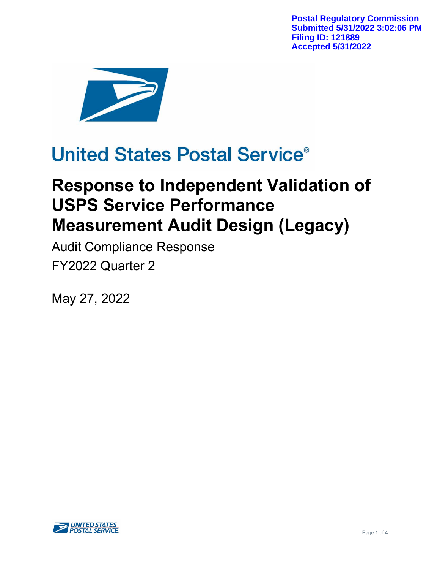**Postal Regulatory Commission Submitted 5/31/2022 3:02:06 PM Filing ID: 121889 Accepted 5/31/2022**



# **United States Postal Service®**

# **Response to Independent Validation of USPS Service Performance Measurement Audit Design (Legacy)**

Audit Compliance Response FY2022 Quarter 2

May 27, 2022

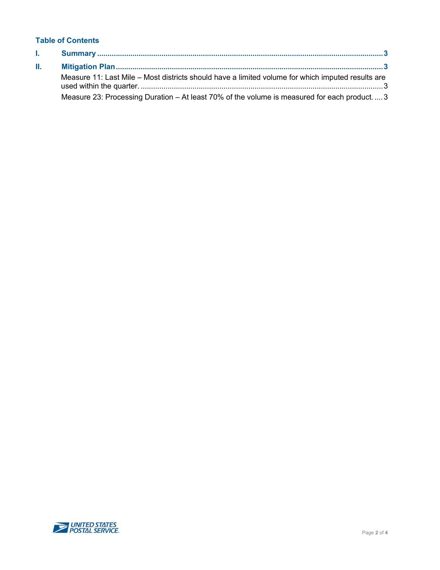#### **Table of Contents**

| T. |                                                                                                   |
|----|---------------------------------------------------------------------------------------------------|
| H. |                                                                                                   |
|    | Measure 11: Last Mile – Most districts should have a limited volume for which imputed results are |
|    | Measure 23: Processing Duration – At least 70% of the volume is measured for each product3        |

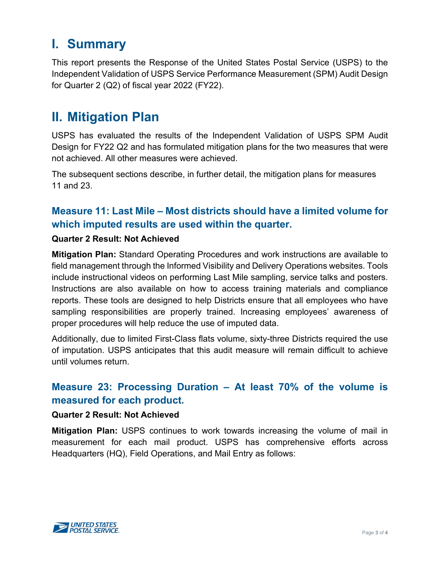## <span id="page-2-0"></span>**I. Summary**

This report presents the Response of the United States Postal Service (USPS) to the Independent Validation of USPS Service Performance Measurement (SPM) Audit Design for Quarter 2 (Q2) of fiscal year 2022 (FY22).

## <span id="page-2-1"></span>**II. Mitigation Plan**

USPS has evaluated the results of the Independent Validation of USPS SPM Audit Design for FY22 Q2 and has formulated mitigation plans for the two measures that were not achieved. All other measures were achieved.

The subsequent sections describe, in further detail, the mitigation plans for measures 11 and 23.

### <span id="page-2-2"></span>**Measure 11: Last Mile – Most districts should have a limited volume for which imputed results are used within the quarter.**

### **Quarter 2 Result: Not Achieved**

**Mitigation Plan:** Standard Operating Procedures and work instructions are available to field management through the Informed Visibility and Delivery Operations websites. Tools include instructional videos on performing Last Mile sampling, service talks and posters. Instructions are also available on how to access training materials and compliance reports. These tools are designed to help Districts ensure that all employees who have sampling responsibilities are properly trained. Increasing employees' awareness of proper procedures will help reduce the use of imputed data.

Additionally, due to limited First-Class flats volume, sixty-three Districts required the use of imputation. USPS anticipates that this audit measure will remain difficult to achieve until volumes return.

### <span id="page-2-3"></span>**Measure 23: Processing Duration – At least 70% of the volume is measured for each product.**

#### **Quarter 2 Result: Not Achieved**

**Mitigation Plan:** USPS continues to work towards increasing the volume of mail in measurement for each mail product. USPS has comprehensive efforts across Headquarters (HQ), Field Operations, and Mail Entry as follows: